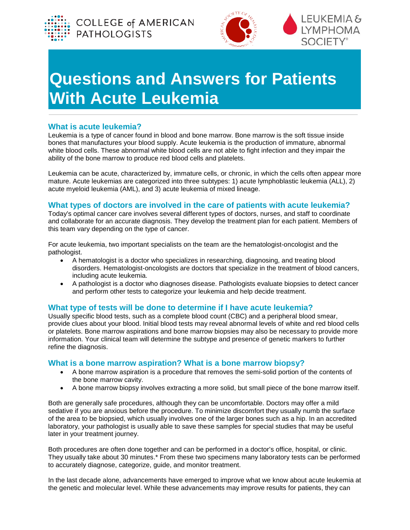





# **Questions and Answers for Patients With Acute Leukemia**

# **What is acute leukemia?**

Leukemia is a type of cancer found in blood and bone marrow. Bone marrow is the soft tissue inside bones that manufactures your blood supply. Acute leukemia is the production of immature, abnormal white blood cells. These abnormal white blood cells are not able to fight infection and they impair the ability of the bone marrow to produce red blood cells and platelets.

Leukemia can be acute, characterized by, immature cells, or chronic, in which the cells often appear more mature. Acute leukemias are categorized into three subtypes: 1) acute lymphoblastic leukemia (ALL), 2) acute myeloid leukemia (AML), and 3) acute leukemia of mixed lineage.

# **What types of doctors are involved in the care of patients with acute leukemia?**

Today's optimal cancer care involves several different types of doctors, nurses, and staff to coordinate and collaborate for an accurate diagnosis. They develop the treatment plan for each patient. Members of this team vary depending on the type of cancer.

For acute leukemia, two important specialists on the team are the hematologist-oncologist and the pathologist.

- A hematologist is a doctor who specializes in researching, diagnosing, and treating blood disorders. Hematologist-oncologists are doctors that specialize in the treatment of blood cancers, including acute leukemia.
- A pathologist is a doctor who diagnoses disease. Pathologists evaluate biopsies to detect cancer and perform other tests to categorize your leukemia and help decide treatment.

## **What type of tests will be done to determine if I have acute leukemia?**

Usually specific blood tests, such as a complete blood count (CBC) and a peripheral blood smear, provide clues about your blood. Initial blood tests may reveal abnormal levels of white and red blood cells or platelets. Bone marrow aspirations and bone marrow biopsies may also be necessary to provide more information. Your clinical team will determine the subtype and presence of genetic markers to further refine the diagnosis.

## **What is a bone marrow aspiration? What is a bone marrow biopsy?**

- A bone marrow aspiration is a procedure that removes the semi-solid portion of the contents of the bone marrow cavity.
- A bone marrow biopsy involves extracting a more solid, but small piece of the bone marrow itself.

Both are generally safe procedures, although they can be uncomfortable. Doctors may offer a mild sedative if you are anxious before the procedure. To minimize discomfort they usually numb the surface of the area to be biopsied, which usually involves one of the larger bones such as a hip. In an accredited laboratory, your pathologist is usually able to save these samples for special studies that may be useful later in your treatment journey.

Both procedures are often done together and can be performed in a doctor's office, hospital, or clinic. They usually take about 30 minutes.\* From these two specimens many laboratory tests can be performed to accurately diagnose, categorize, guide, and monitor treatment.

In the last decade alone, advancements have emerged to improve what we know about acute leukemia at the genetic and molecular level. While these advancements may improve results for patients, they can